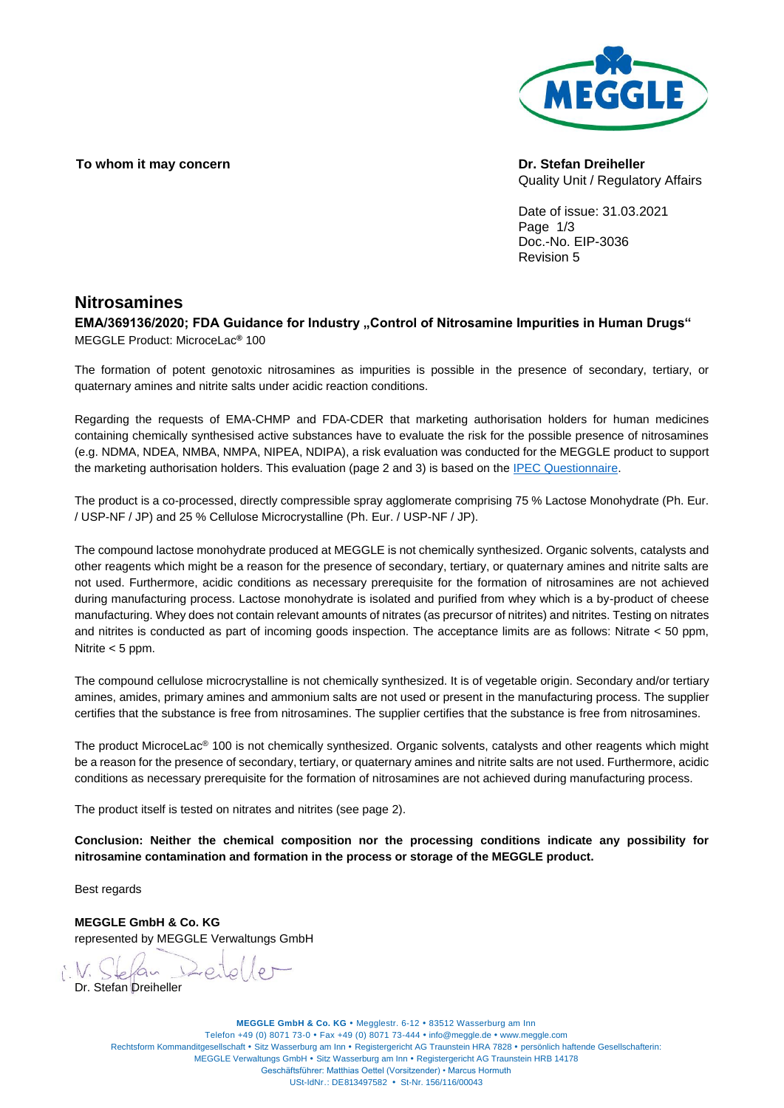### To whom it may concern **Dr.** Stefan Dreiheller



Quality Unit / Regulatory Affairs

Date of issue: 31.03.2021 Page  $1/3$ Doc.-No. EIP-3036 Revision 5

### **Nitrosamines**

EMA/369136/2020; FDA Guidance for Industry "Control of Nitrosamine Impurities in Human Drugs" MEGGLE Product: MicroceLac**®** 100

The formation of potent genotoxic nitrosamines as impurities is possible in the presence of secondary, tertiary, or quaternary amines and nitrite salts under acidic reaction conditions.

Regarding the requests of EMA-CHMP and FDA-CDER that marketing authorisation holders for human medicines containing chemically synthesised active substances have to evaluate the risk for the possible presence of nitrosamines (e.g. NDMA, NDEA, NMBA, NMPA, NIPEA, NDIPA), a risk evaluation was conducted for the MEGGLE product to support the marketing authorisation holders. This evaluation (page 2 and 3) is based on the [IPEC Questionnaire.](https://www.ipec-europe.org/articles/questionnaire-for-excipient-nitrosamines-risk-evaluation.html) 

The product is a co-processed, directly compressible spray agglomerate comprising 75 % Lactose Monohydrate (Ph. Eur. / USP-NF / JP) and 25 % Cellulose Microcrystalline (Ph. Eur. / USP-NF / JP).

The compound lactose monohydrate produced at MEGGLE is not chemically synthesized. Organic solvents, catalysts and other reagents which might be a reason for the presence of secondary, tertiary, or quaternary amines and nitrite salts are not used. Furthermore, acidic conditions as necessary prerequisite for the formation of nitrosamines are not achieved during manufacturing process. Lactose monohydrate is isolated and purified from whey which is a by-product of cheese manufacturing. Whey does not contain relevant amounts of nitrates (as precursor of nitrites) and nitrites. Testing on nitrates and nitrites is conducted as part of incoming goods inspection. The acceptance limits are as follows: Nitrate < 50 ppm, Nitrite < 5 ppm.

The compound cellulose microcrystalline is not chemically synthesized. It is of vegetable origin. Secondary and/or tertiary amines, amides, primary amines and ammonium salts are not used or present in the manufacturing process. The supplier certifies that the substance is free from nitrosamines. The supplier certifies that the substance is free from nitrosamines.

The product MicroceLac® 100 is not chemically synthesized. Organic solvents, catalysts and other reagents which might be a reason for the presence of secondary, tertiary, or quaternary amines and nitrite salts are not used. Furthermore, acidic conditions as necessary prerequisite for the formation of nitrosamines are not achieved during manufacturing process.

The product itself is tested on nitrates and nitrites (see page 2).

**Conclusion: Neither the chemical composition nor the processing conditions indicate any possibility for nitrosamine contamination and formation in the process or storage of the MEGGLE product.**

Best regards

**MEGGLE GmbH & Co. KG** represented by MEGGLE Verwaltungs GmbH

Dr. Stefan Dreihelle

**MEGGLE GmbH & Co. KG · Megglestr. 6-12 · 83512 Wasserburg am Inn** Telefon +49 (0) 8071 73-0 • Fax +49 (0) 8071 73-444 • info@meggle.de • www.meggle.com Rechtsform Kommanditgesellschaft • Sitz Wasserburg am Inn • Registergericht AG Traunstein HRA 7828 • persönlich haftende Gesellschafterin: MEGGLE Verwaltungs GmbH · Sitz Wasserburg am Inn · Registergericht AG Traunstein HRB 14178 Geschäftsführer: Matthias Oettel (Vorsitzender) • Marcus Hormuth USt-IdNr.: DE813497582 • St-Nr. 156/116/00043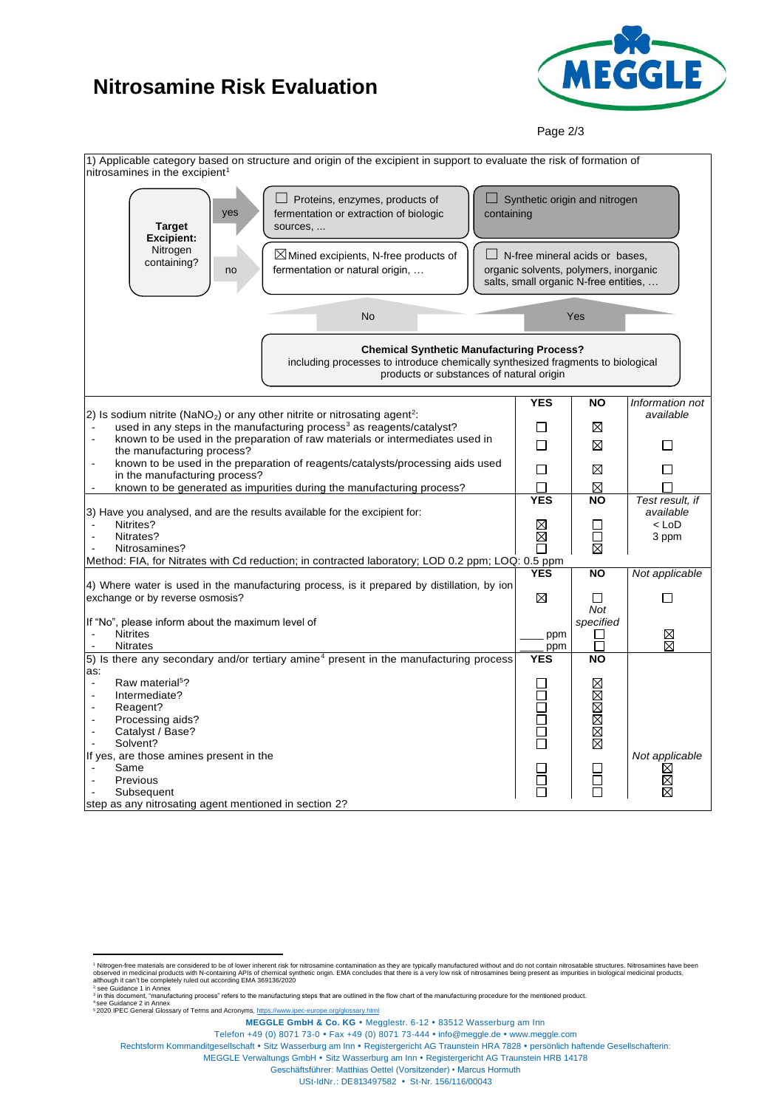# **Nitrosamine Risk Evaluation**



Page 2/3



<sup>2</sup> see Guidance 1 in Annex

-

Rechtsform Kommanditgesellschaft • Sitz Wasserburg am Inn • Registergericht AG Traunstein HRA 7828 · persönlich haftende Gesellschafterin:

MEGGLE Verwaltungs GmbH · Sitz Wasserburg am Inn · Registergericht AG Traunstein HRB 14178 Geschäftsführer: Matthias Oettel (Vorsitzender) • Marcus Hormuth

USt-IdNr.: DE813497582 • St-Nr. 156/116/00043

<sup>&</sup>lt;sup>1</sup> Nitrogen-free materials are considered to be of lower inherent risk for nitrosamine contamination as they are typically manufactured without and do not contain nitrosatable structures. Nitrosamines have been observed in medicinal products with N-containing APIs of chemical synthetic origin. EMA concludes that there is a very low risk of nitrosamines being present as impurities in biological medicinal products,<br>although it can'

<sup>3</sup> in this document, "manufacturing process" refers to the manufacturing steps that are outlined in the flow chart of the manufacturing procedure for the mentioned product. <sup>4</sup> see Guidance 2 in Annex

<sup>5</sup> 2020 IPEC General Glossary of Terms and Acronyms[, https://www.ipec-europe.org/glossary.html](https://www.ipec-europe.org/glossary.html)

**MEGGLE GmbH & Co. KG · Megglestr. 6-12 · 83512 Wasserburg am Inn** 

Telefon +49 (0) 8071 73-0 • Fax +49 (0) 8071 73-444 • info@meggle.de • www.meggle.com